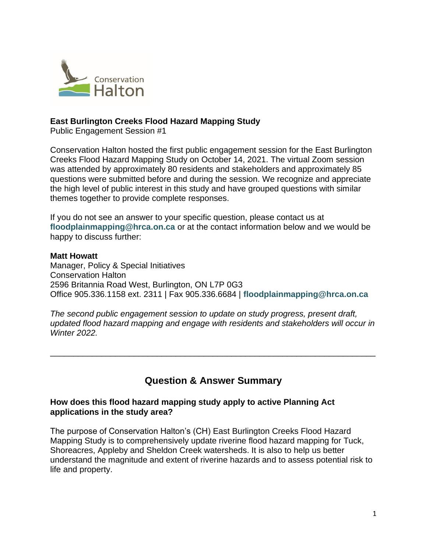

## **East Burlington Creeks Flood Hazard Mapping Study**

Public Engagement Session #1

Conservation Halton hosted the first public engagement session for the East Burlington Creeks Flood Hazard Mapping Study on October 14, 2021. The virtual Zoom session was attended by approximately 80 residents and stakeholders and approximately 85 questions were submitted before and during the session. We recognize and appreciate the high level of public interest in this study and have grouped questions with similar themes together to provide complete responses.

If you do not see an answer to your specific question, please contact us at **[floodplainmapping@hrca.on.ca](mailto:floodplainmapping@hrca.on.ca)** or at the contact information below and we would be happy to discuss further:

#### **Matt Howatt**

Manager, Policy & Special Initiatives Conservation Halton 2596 Britannia Road West, Burlington, ON L7P 0G3 Office 905.336.1158 ext. 2311 | Fax 905.336.6684 | **[floodplainmapping@hrca.on.ca](mailto:floodplainmapping@hrca.on.ca)**

*The second public engagement session to update on study progress, present draft, updated flood hazard mapping and engage with residents and stakeholders will occur in Winter 2022.*

# **Question & Answer Summary**

\_\_\_\_\_\_\_\_\_\_\_\_\_\_\_\_\_\_\_\_\_\_\_\_\_\_\_\_\_\_\_\_\_\_\_\_\_\_\_\_\_\_\_\_\_\_\_\_\_\_\_\_\_\_\_\_\_\_\_\_\_\_\_\_\_\_\_\_\_\_

## **How does this flood hazard mapping study apply to active Planning Act applications in the study area?**

The purpose of Conservation Halton's (CH) East Burlington Creeks Flood Hazard Mapping Study is to comprehensively update riverine flood hazard mapping for Tuck, Shoreacres, Appleby and Sheldon Creek watersheds. It is also to help us better understand the magnitude and extent of riverine hazards and to assess potential risk to life and property.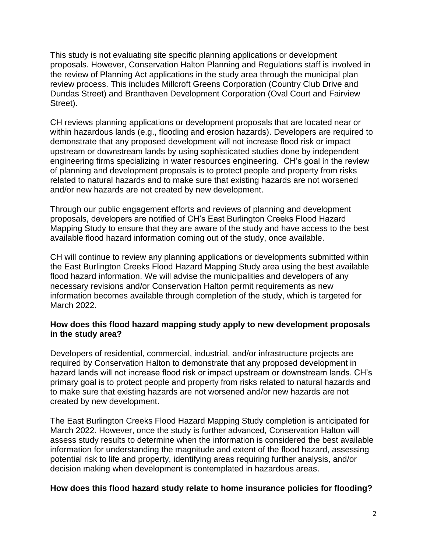This study is not evaluating site specific planning applications or development proposals. However, Conservation Halton Planning and Regulations staff is involved in the review of Planning Act applications in the study area through the municipal plan review process. This includes Millcroft Greens Corporation (Country Club Drive and Dundas Street) and Branthaven Development Corporation (Oval Court and Fairview Street).

CH reviews planning applications or development proposals that are located near or within hazardous lands (e.g., flooding and erosion hazards). Developers are required to demonstrate that any proposed development will not increase flood risk or impact upstream or downstream lands by using sophisticated studies done by independent engineering firms specializing in water resources engineering. CH's goal in the review of planning and development proposals is to protect people and property from risks related to natural hazards and to make sure that existing hazards are not worsened and/or new hazards are not created by new development.

Through our public engagement efforts and reviews of planning and development proposals, developers are notified of CH's East Burlington Creeks Flood Hazard Mapping Study to ensure that they are aware of the study and have access to the best available flood hazard information coming out of the study, once available.

CH will continue to review any planning applications or developments submitted within the East Burlington Creeks Flood Hazard Mapping Study area using the best available flood hazard information. We will advise the municipalities and developers of any necessary revisions and/or Conservation Halton permit requirements as new information becomes available through completion of the study, which is targeted for March 2022.

## **How does this flood hazard mapping study apply to new development proposals in the study area?**

Developers of residential, commercial, industrial, and/or infrastructure projects are required by Conservation Halton to demonstrate that any proposed development in hazard lands will not increase flood risk or impact upstream or downstream lands. CH's primary goal is to protect people and property from risks related to natural hazards and to make sure that existing hazards are not worsened and/or new hazards are not created by new development.

The East Burlington Creeks Flood Hazard Mapping Study completion is anticipated for March 2022. However, once the study is further advanced, Conservation Halton will assess study results to determine when the information is considered the best available information for understanding the magnitude and extent of the flood hazard, assessing potential risk to life and property, identifying areas requiring further analysis, and/or decision making when development is contemplated in hazardous areas.

## **How does this flood hazard study relate to home insurance policies for flooding?**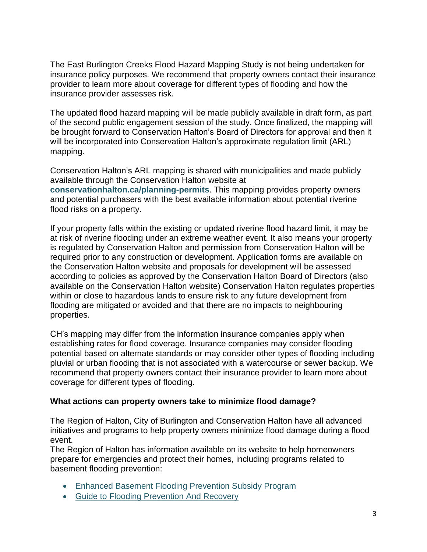The East Burlington Creeks Flood Hazard Mapping Study is not being undertaken for insurance policy purposes. We recommend that property owners contact their insurance provider to learn more about coverage for different types of flooding and how the insurance provider assesses risk.

The updated flood hazard mapping will be made publicly available in draft form, as part of the second public engagement session of the study. Once finalized, the mapping will be brought forward to Conservation Halton's Board of Directors for approval and then it will be incorporated into Conservation Halton's approximate regulation limit (ARL) mapping.

Conservation Halton's ARL mapping is shared with municipalities and made publicly available through the Conservation Halton website at **[conservationhalton.ca/planning-permits](http://www.conservationhalton.ca/planning-permits)**. This mapping provides property owners and potential purchasers with the best available information about potential riverine flood risks on a property.

If your property falls within the existing or updated riverine flood hazard limit, it may be at risk of riverine flooding under an extreme weather event. It also means your property is regulated by Conservation Halton and permission from Conservation Halton will be required prior to any construction or development. Application forms are available on the Conservation Halton website and proposals for development will be assessed according to policies as approved by the Conservation Halton Board of Directors (also available on the Conservation Halton website) Conservation Halton regulates properties within or close to hazardous lands to ensure risk to any future development from flooding are mitigated or avoided and that there are no impacts to neighbouring properties.

CH's mapping may differ from the information insurance companies apply when establishing rates for flood coverage. Insurance companies may consider flooding potential based on alternate standards or may consider other types of flooding including pluvial or urban flooding that is not associated with a watercourse or sewer backup. We recommend that property owners contact their insurance provider to learn more about coverage for different types of flooding.

# **What actions can property owners take to minimize flood damage?**

The Region of Halton, City of Burlington and Conservation Halton have all advanced initiatives and programs to help property owners minimize flood damage during a flood event.

The Region of Halton has information available on its website to help homeowners prepare for emergencies and protect their homes, including programs related to basement flooding prevention:

- [Enhanced Basement Flooding Prevention Subsidy Program](https://www.halton.ca/For-Residents/Water-and-Environment/Enhanced-Basement-Flooding-Prevention-Subsidy-Prog)
- Guide to Flooding [Prevention](https://www.halton.ca/Repository/A-Guide-to-Flooding-Prevention-And-Recovery) And Recovery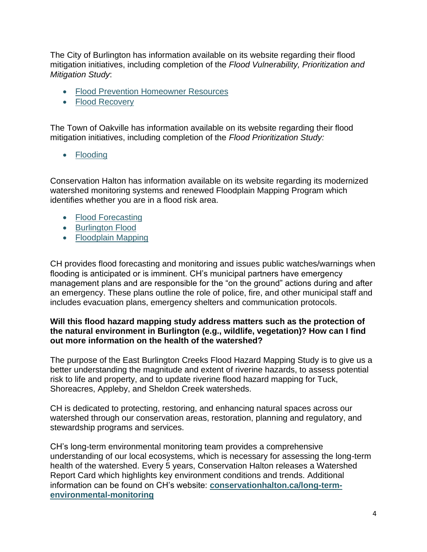The City of Burlington has information available on its website regarding their flood mitigation initiatives, including completion of the *Flood Vulnerability, Prioritization and Mitigation Study*:

- Flood Prevention Homeowner Resources
- Flood [Recovery](https://www.burlington.ca/en/services-for-you/Flood-Recovery.asp)

The Town of Oakville has information available on its website regarding their flood mitigation initiatives, including completion of the *Flood Prioritization Study:*

• [Flooding](https://www.oakville.ca/environment/flooding.html)

Conservation Halton has information available on its website regarding its modernized watershed monitoring systems and renewed Floodplain Mapping Program which identifies whether you are in a flood risk area.

- Flood [Forecasting](https://www.conservationhalton.ca/flood-forecasting)
- [Burlington](https://www.conservationhalton.ca/burlingtonflood) Flood
- [Floodplain](https://www.conservationhalton.ca/floodplainmapping) Mapping

CH provides flood forecasting and monitoring and issues public watches/warnings when flooding is anticipated or is imminent. CH's municipal partners have emergency management plans and are responsible for the "on the ground" actions during and after an emergency. These plans outline the role of police, fire, and other municipal staff and includes evacuation plans, emergency shelters and communication protocols.

## **Will this flood hazard mapping study address matters such as the protection of the natural environment in Burlington (e.g., wildlife, vegetation)? How can I find out more information on the health of the watershed?**

The purpose of the East Burlington Creeks Flood Hazard Mapping Study is to give us a better understanding the magnitude and extent of riverine hazards, to assess potential risk to life and property, and to update riverine flood hazard mapping for Tuck, Shoreacres, Appleby, and Sheldon Creek watersheds.

CH is dedicated to protecting, restoring, and enhancing natural spaces across our watershed through our conservation areas, restoration, planning and regulatory, and stewardship programs and services.

CH's long-term environmental monitoring team provides a comprehensive understanding of our local ecosystems, which is necessary for assessing the long-term health of the watershed. Every 5 years, Conservation Halton releases a Watershed Report Card which highlights key environment conditions and trends. Additional information can be found on CH's website: **[conservationhalton.ca/long-term](https://www.conservationhalton.ca/long-term-environmental-monitoring)[environmental-monitoring](https://www.conservationhalton.ca/long-term-environmental-monitoring)**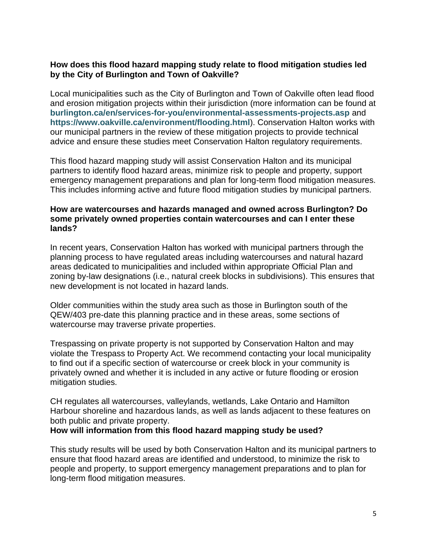## **How does this flood hazard mapping study relate to flood mitigation studies led by the City of Burlington and Town of Oakville?**

Local municipalities such as the City of Burlington and Town of Oakville often lead flood and erosion mitigation projects within their jurisdiction (more information can be found at **[burlington.ca/en/services-for-you/environmental-assessments-projects.asp](https://www.burlington.ca/en/services-for-you/environmental-assessments-projects.asp)** and **<https://www.oakville.ca/environment/flooding.html>**). Conservation Halton works with our municipal partners in the review of these mitigation projects to provide technical advice and ensure these studies meet Conservation Halton regulatory requirements.

This flood hazard mapping study will assist Conservation Halton and its municipal partners to identify flood hazard areas, minimize risk to people and property, support emergency management preparations and plan for long-term flood mitigation measures. This includes informing active and future flood mitigation studies by municipal partners.

## **How are watercourses and hazards managed and owned across Burlington? Do some privately owned properties contain watercourses and can I enter these lands?**

In recent years, Conservation Halton has worked with municipal partners through the planning process to have regulated areas including watercourses and natural hazard areas dedicated to municipalities and included within appropriate Official Plan and zoning by-law designations (i.e., natural creek blocks in subdivisions). This ensures that new development is not located in hazard lands.

Older communities within the study area such as those in Burlington south of the QEW/403 pre-date this planning practice and in these areas, some sections of watercourse may traverse private properties.

Trespassing on private property is not supported by Conservation Halton and may violate the Trespass to Property Act. We recommend contacting your local municipality to find out if a specific section of watercourse or creek block in your community is privately owned and whether it is included in any active or future flooding or erosion mitigation studies.

CH regulates all watercourses, valleylands, wetlands, Lake Ontario and Hamilton Harbour shoreline and hazardous lands, as well as lands adjacent to these features on both public and private property.

## **How will information from this flood hazard mapping study be used?**

This study results will be used by both Conservation Halton and its municipal partners to ensure that flood hazard areas are identified and understood, to minimize the risk to people and property, to support emergency management preparations and to plan for long-term flood mitigation measures.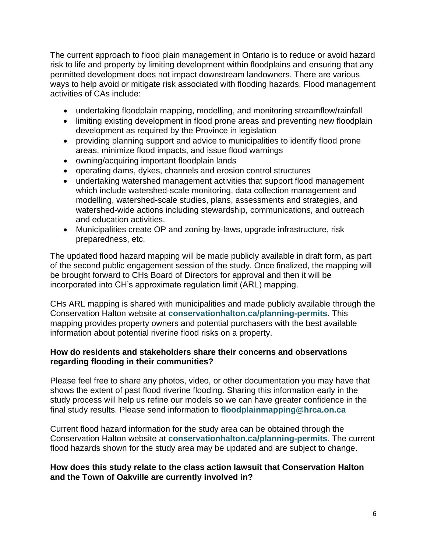The current approach to flood plain management in Ontario is to reduce or avoid hazard risk to life and property by limiting development within floodplains and ensuring that any permitted development does not impact downstream landowners. There are various ways to help avoid or mitigate risk associated with flooding hazards. Flood management activities of CAs include:

- undertaking floodplain mapping, modelling, and monitoring streamflow/rainfall
- limiting existing development in flood prone areas and preventing new floodplain development as required by the Province in legislation
- providing planning support and advice to municipalities to identify flood prone areas, minimize flood impacts, and issue flood warnings
- owning/acquiring important floodplain lands
- operating dams, dykes, channels and erosion control structures
- undertaking watershed management activities that support flood management which include watershed-scale monitoring, data collection management and modelling, watershed-scale studies, plans, assessments and strategies, and watershed-wide actions including stewardship, communications, and outreach and education activities.
- Municipalities create OP and zoning by-laws, upgrade infrastructure, risk preparedness, etc.

The updated flood hazard mapping will be made publicly available in draft form, as part of the second public engagement session of the study. Once finalized, the mapping will be brought forward to CHs Board of Directors for approval and then it will be incorporated into CH's approximate regulation limit (ARL) mapping.

CHs ARL mapping is shared with municipalities and made publicly available through the Conservation Halton website at **[conservationhalton.ca/planning-permits](http://www.conservationhalton.ca/planning-permits)**. This mapping provides property owners and potential purchasers with the best available information about potential riverine flood risks on a property.

## **How do residents and stakeholders share their concerns and observations regarding flooding in their communities?**

Please feel free to share any photos, video, or other documentation you may have that shows the extent of past flood riverine flooding. Sharing this information early in the study process will help us refine our models so we can have greater confidence in the final study results. Please send information to **[floodplainmapping@hrca.on.ca](mailto:floodplainmapping@hrca.on.ca)**

Current flood hazard information for the study area can be obtained through the Conservation Halton website at **[conservationhalton.ca/planning-permits](http://www.conservationhalton.ca/planning-permits)**. The current flood hazards shown for the study area may be updated and are subject to change.

## **How does this study relate to the class action lawsuit that Conservation Halton and the Town of Oakville are currently involved in?**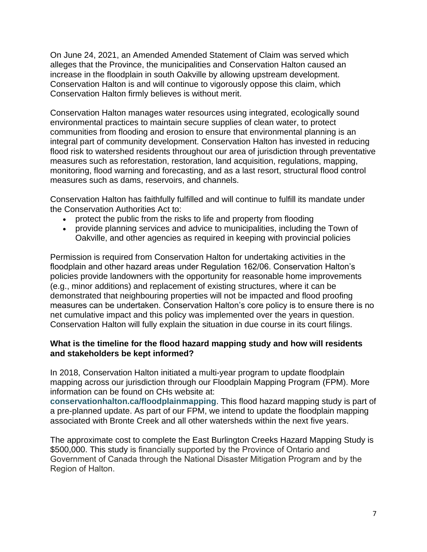On June 24, 2021, an Amended Amended Statement of Claim was served which alleges that the Province, the municipalities and Conservation Halton caused an increase in the floodplain in south Oakville by allowing upstream development. Conservation Halton is and will continue to vigorously oppose this claim, which Conservation Halton firmly believes is without merit.

Conservation Halton manages water resources using integrated, ecologically sound environmental practices to maintain secure supplies of clean water, to protect communities from flooding and erosion to ensure that environmental planning is an integral part of community development. Conservation Halton has invested in reducing flood risk to watershed residents throughout our area of jurisdiction through preventative measures such as reforestation, restoration, land acquisition, regulations, mapping, monitoring, flood warning and forecasting, and as a last resort, structural flood control measures such as dams, reservoirs, and channels.

Conservation Halton has faithfully fulfilled and will continue to fulfill its mandate under the Conservation Authorities Act to:

- protect the public from the risks to life and property from flooding
- provide planning services and advice to municipalities, including the Town of Oakville, and other agencies as required in keeping with provincial policies

Permission is required from Conservation Halton for undertaking activities in the floodplain and other hazard areas under Regulation 162/06. Conservation Halton's policies provide landowners with the opportunity for reasonable home improvements (e.g., minor additions) and replacement of existing structures, where it can be demonstrated that neighbouring properties will not be impacted and flood proofing measures can be undertaken. Conservation Halton's core policy is to ensure there is no net cumulative impact and this policy was implemented over the years in question. Conservation Halton will fully explain the situation in due course in its court filings.

## **What is the timeline for the flood hazard mapping study and how will residents and stakeholders be kept informed?**

In 2018, Conservation Halton initiated a multi-year program to update floodplain mapping across our jurisdiction through our Floodplain Mapping Program (FPM). More information can be found on CHs website at:

**[conservationhalton.ca/floodplainmapping](https://www.conservationhalton.ca/floodplainmapping)**. This flood hazard mapping study is part of a pre-planned update. As part of our FPM, we intend to update the floodplain mapping associated with Bronte Creek and all other watersheds within the next five years.

The approximate cost to complete the East Burlington Creeks Hazard Mapping Study is \$500,000. This study is financially supported by the Province of Ontario and Government of Canada through the National Disaster Mitigation Program and by the Region of Halton.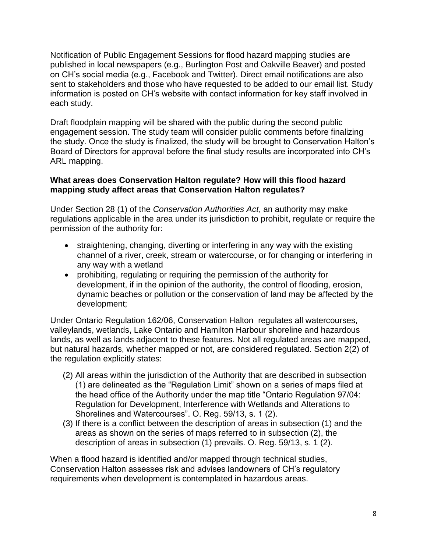Notification of Public Engagement Sessions for flood hazard mapping studies are published in local newspapers (e.g., Burlington Post and Oakville Beaver) and posted on CH's social media (e.g., Facebook and Twitter). Direct email notifications are also sent to stakeholders and those who have requested to be added to our email list. Study information is posted on CH's website with contact information for key staff involved in each study.

Draft floodplain mapping will be shared with the public during the second public engagement session. The study team will consider public comments before finalizing the study. Once the study is finalized, the study will be brought to Conservation Halton's Board of Directors for approval before the final study results are incorporated into CH's ARL mapping.

# **What areas does Conservation Halton regulate? How will this flood hazard mapping study affect areas that Conservation Halton regulates?**

Under Section 28 (1) of the *Conservation Authorities Act*, an authority may make regulations applicable in the area under its jurisdiction to prohibit, regulate or require the permission of the authority for:

- straightening, changing, diverting or interfering in any way with the existing channel of a river, creek, stream or watercourse, or for changing or interfering in any way with a wetland
- prohibiting, regulating or requiring the permission of the authority for development, if in the opinion of the authority, the control of flooding, erosion, dynamic beaches or pollution or the conservation of land may be affected by the development;

Under Ontario Regulation 162/06, Conservation Halton regulates all watercourses, valleylands, wetlands, Lake Ontario and Hamilton Harbour shoreline and hazardous lands, as well as lands adjacent to these features. Not all regulated areas are mapped, but natural hazards, whether mapped or not, are considered regulated. Section 2(2) of the regulation explicitly states:

- (2) All areas within the jurisdiction of the Authority that are described in subsection (1) are delineated as the "Regulation Limit" shown on a series of maps filed at the head office of the Authority under the map title "Ontario Regulation 97/04: Regulation for Development, Interference with Wetlands and Alterations to Shorelines and Watercourses". O. Reg. 59/13, s. 1 (2).
- (3) If there is a conflict between the description of areas in subsection (1) and the areas as shown on the series of maps referred to in subsection (2), the description of areas in subsection (1) prevails. O. Reg. 59/13, s. 1 (2).

When a flood hazard is identified and/or mapped through technical studies, Conservation Halton assesses risk and advises landowners of CH's regulatory requirements when development is contemplated in hazardous areas.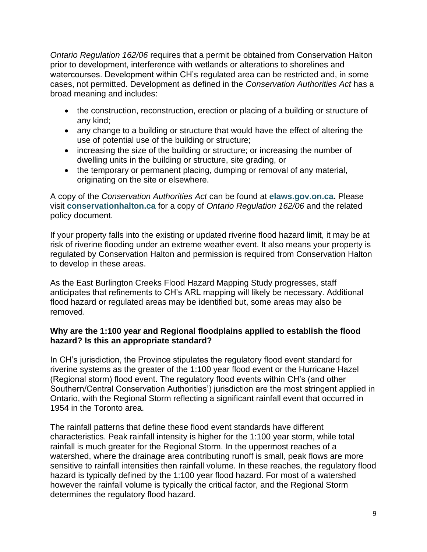*Ontario Regulation 162/06* requires that a permit be obtained from Conservation Halton prior to development, interference with wetlands or alterations to shorelines and watercourses. Development within CH's regulated area can be restricted and, in some cases, not permitted. Development as defined in the *Conservation Authorities Act* has a broad meaning and includes:

- the construction, reconstruction, erection or placing of a building or structure of any kind;
- any change to a building or structure that would have the effect of altering the use of potential use of the building or structure;
- increasing the size of the building or structure; or increasing the number of dwelling units in the building or structure, site grading, or
- the temporary or permanent placing, dumping or removal of any material, originating on the site or elsewhere.

A copy of the *Conservation Authorities Act* can be found at **[elaws.gov.on.ca.](http://elaws.gov.on.ca/)** Please visit **[conservationhalton.ca](file:///C:/Users/mhowatt/AppData/Local/Microsoft/Windows/INetCache/Content.Outlook/M8Q499ZG/www.conservationhalton.ca)** for a copy of *Ontario Regulation 162/06* and the related policy document.

If your property falls into the existing or updated riverine flood hazard limit, it may be at risk of riverine flooding under an extreme weather event. It also means your property is regulated by Conservation Halton and permission is required from Conservation Halton to develop in these areas.

As the East Burlington Creeks Flood Hazard Mapping Study progresses, staff anticipates that refinements to CH's ARL mapping will likely be necessary. Additional flood hazard or regulated areas may be identified but, some areas may also be removed.

## **Why are the 1:100 year and Regional floodplains applied to establish the flood hazard? Is this an appropriate standard?**

In CH's jurisdiction, the Province stipulates the regulatory flood event standard for riverine systems as the greater of the 1:100 year flood event or the Hurricane Hazel (Regional storm) flood event. The regulatory flood events within CH's (and other Southern/Central Conservation Authorities') jurisdiction are the most stringent applied in Ontario, with the Regional Storm reflecting a significant rainfall event that occurred in 1954 in the Toronto area.

The rainfall patterns that define these flood event standards have different characteristics. Peak rainfall intensity is higher for the 1:100 year storm, while total rainfall is much greater for the Regional Storm. In the uppermost reaches of a watershed, where the drainage area contributing runoff is small, peak flows are more sensitive to rainfall intensities then rainfall volume. In these reaches, the regulatory flood hazard is typically defined by the 1:100 year flood hazard. For most of a watershed however the rainfall volume is typically the critical factor, and the Regional Storm determines the regulatory flood hazard.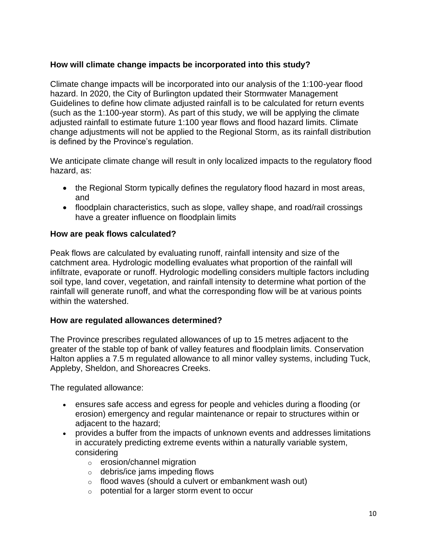# **How will climate change impacts be incorporated into this study?**

Climate change impacts will be incorporated into our analysis of the 1:100-year flood hazard. In 2020, the City of Burlington updated their Stormwater Management Guidelines to define how climate adjusted rainfall is to be calculated for return events (such as the 1:100-year storm). As part of this study, we will be applying the climate adjusted rainfall to estimate future 1:100 year flows and flood hazard limits. Climate change adjustments will not be applied to the Regional Storm, as its rainfall distribution is defined by the Province's regulation.

We anticipate climate change will result in only localized impacts to the regulatory flood hazard, as:

- the Regional Storm typically defines the regulatory flood hazard in most areas, and
- floodplain characteristics, such as slope, valley shape, and road/rail crossings have a greater influence on floodplain limits

# **How are peak flows calculated?**

Peak flows are calculated by evaluating runoff, rainfall intensity and size of the catchment area. Hydrologic modelling evaluates what proportion of the rainfall will infiltrate, evaporate or runoff. Hydrologic modelling considers multiple factors including soil type, land cover, vegetation, and rainfall intensity to determine what portion of the rainfall will generate runoff, and what the corresponding flow will be at various points within the watershed.

# **How are regulated allowances determined?**

The Province prescribes regulated allowances of up to 15 metres adjacent to the greater of the stable top of bank of valley features and floodplain limits. Conservation Halton applies a 7.5 m regulated allowance to all minor valley systems, including Tuck, Appleby, Sheldon, and Shoreacres Creeks.

The regulated allowance:

- ensures safe access and egress for people and vehicles during a flooding (or erosion) emergency and regular maintenance or repair to structures within or adjacent to the hazard;
- provides a buffer from the impacts of unknown events and addresses limitations in accurately predicting extreme events within a naturally variable system, considering
	- o erosion/channel migration
	- $\circ$  debris/ice jams impeding flows
	- o flood waves (should a culvert or embankment wash out)
	- o potential for a larger storm event to occur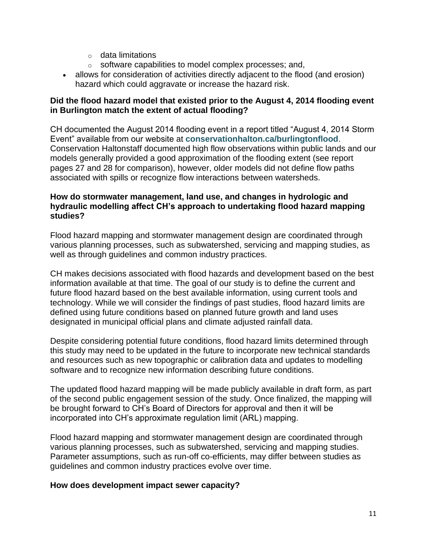- $\circ$  data limitations
- o software capabilities to model complex processes; and,
- allows for consideration of activities directly adjacent to the flood (and erosion) hazard which could aggravate or increase the hazard risk.

## **Did the flood hazard model that existed prior to the August 4, 2014 flooding event in Burlington match the extent of actual flooding?**

CH documented the August 2014 flooding event in a report titled "August 4, 2014 Storm Event" available from our website at **[conservationhalton.ca/burlingtonflood](https://conservationhalton.ca/burlingtonflood)**. Conservation Haltonstaff documented high flow observations within public lands and our models generally provided a good approximation of the flooding extent (see report pages 27 and 28 for comparison), however, older models did not define flow paths associated with spills or recognize flow interactions between watersheds.

## **How do stormwater management, land use, and changes in hydrologic and hydraulic modelling affect CH's approach to undertaking flood hazard mapping studies?**

Flood hazard mapping and stormwater management design are coordinated through various planning processes, such as subwatershed, servicing and mapping studies, as well as through guidelines and common industry practices.

CH makes decisions associated with flood hazards and development based on the best information available at that time. The goal of our study is to define the current and future flood hazard based on the best available information, using current tools and technology. While we will consider the findings of past studies, flood hazard limits are defined using future conditions based on planned future growth and land uses designated in municipal official plans and climate adjusted rainfall data.

Despite considering potential future conditions, flood hazard limits determined through this study may need to be updated in the future to incorporate new technical standards and resources such as new topographic or calibration data and updates to modelling software and to recognize new information describing future conditions.

The updated flood hazard mapping will be made publicly available in draft form, as part of the second public engagement session of the study. Once finalized, the mapping will be brought forward to CH's Board of Directors for approval and then it will be incorporated into CH's approximate regulation limit (ARL) mapping.

Flood hazard mapping and stormwater management design are coordinated through various planning processes, such as subwatershed, servicing and mapping studies. Parameter assumptions, such as run-off co-efficients, may differ between studies as guidelines and common industry practices evolve over time.

## **How does development impact sewer capacity?**